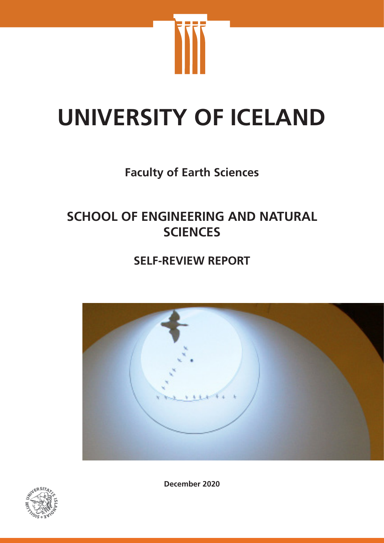

# **UNIVERSITY OF ICELAND**

# **Faculty of Earth Sciences**

# **SCHOOL OF ENGINEERING AND NATURAL SCIENCES**

# **SELF-REVIEW REPORT**





**December 2020**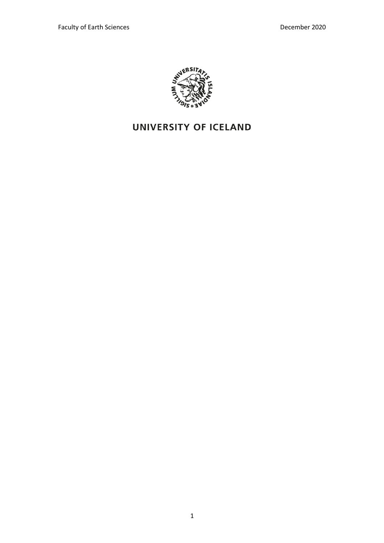

# UNIVERSITY OF ICELAND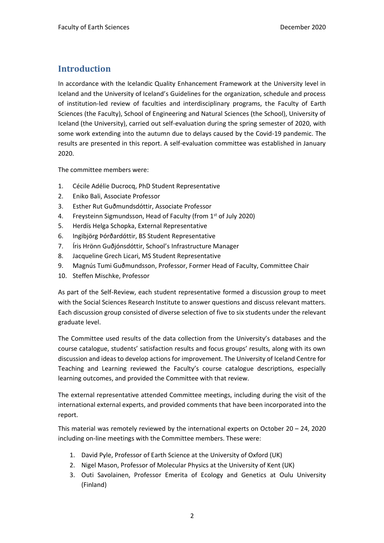# **Introduction**

In accordance with the Icelandic Quality Enhancement Framework at the University level in Iceland and the University of Iceland's Guidelines for the organization, schedule and process of institution-led review of faculties and interdisciplinary programs, the Faculty of Earth Sciences (the Faculty), School of Engineering and Natural Sciences (the School), University of Iceland (the University), carried out self-evaluation during the spring semester of 2020, with some work extending into the autumn due to delays caused by the Covid-19 pandemic. The results are presented in this report. A self-evaluation committee was established in January 2020.

The committee members were:

- 1. Cécile Adélie Ducrocq, PhD Student Representative
- 2. Eniko Bali, Associate Professor
- 3. Esther Rut Guðmundsdóttir, Associate Professor
- 4. Freysteinn Sigmundsson, Head of Faculty (from 1st of July 2020)
- 5. Herdís Helga Schopka, External Representative
- 6. Ingibjörg Þórðardóttir, BS Student Representative
- 7. Íris Hrönn Guðjónsdóttir, School's Infrastructure Manager
- 8. Jacqueline Grech Licari, MS Student Representative
- 9. Magnús Tumi Guðmundsson, Professor, Former Head of Faculty, Committee Chair
- 10. Steffen Mischke, Professor

As part of the Self-Review, each student representative formed a discussion group to meet with the Social Sciences Research Institute to answer questions and discuss relevant matters. Each discussion group consisted of diverse selection of five to six students under the relevant graduate level.

The Committee used results of the data collection from the University's databases and the course catalogue, students' satisfaction results and focus groups' results, along with its own discussion and ideas to develop actions for improvement. The University of Iceland Centre for Teaching and Learning reviewed the Faculty's course catalogue descriptions, especially learning outcomes, and provided the Committee with that review.

The external representative attended Committee meetings, including during the visit of the international external experts, and provided comments that have been incorporated into the report.

This material was remotely reviewed by the international experts on October  $20 - 24$ , 2020 including on-line meetings with the Committee members. These were:

- 1. David Pyle, Professor of Earth Science at the University of Oxford (UK)
- 2. Nigel Mason, Professor of Molecular Physics at the University of Kent (UK)
- 3. Outi Savolainen, Professor Emerita of Ecology and Genetics at Oulu University (Finland)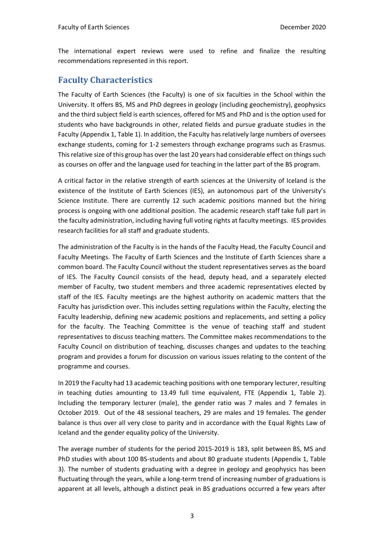The international expert reviews were used to refine and finalize the resulting recommendations represented in this report.

# **Faculty Characteristics**

The Faculty of Earth Sciences (the Faculty) is one of six faculties in the School within the University. It offers BS, MS and PhD degrees in geology (including geochemistry), geophysics and the third subject field is earth sciences, offered for MS and PhD and is the option used for students who have backgrounds in other, related fields and pursue graduate studies in the Faculty (Appendix 1, Table 1). In addition, the Faculty has relatively large numbers of oversees exchange students, coming for 1-2 semesters through exchange programs such as Erasmus. This relative size of this group has over the last 20 years had considerable effect on things such as courses on offer and the language used for teaching in the latter part of the BS program.

A critical factor in the relative strength of earth sciences at the University of Iceland is the existence of the Institute of Earth Sciences (IES), an autonomous part of the University's Science Institute. There are currently 12 such academic positions manned but the hiring process is ongoing with one additional position. The academic research staff take full part in the faculty administration, including having full voting rights at faculty meetings. IES provides research facilities for all staff and graduate students.

The administration of the Faculty is in the hands of the Faculty Head, the Faculty Council and Faculty Meetings. The Faculty of Earth Sciences and the Institute of Earth Sciences share a common board. The Faculty Council without the student representatives serves as the board of IES. The Faculty Council consists of the head, deputy head, and a separately elected member of Faculty, two student members and three academic representatives elected by staff of the IES. Faculty meetings are the highest authority on academic matters that the Faculty has jurisdiction over. This includes setting regulations within the Faculty, electing the Faculty leadership, defining new academic positions and replacements, and setting a policy for the faculty. The Teaching Committee is the venue of teaching staff and student representatives to discuss teaching matters. The Committee makes recommendations to the Faculty Council on distribution of teaching, discusses changes and updates to the teaching program and provides a forum for discussion on various issues relating to the content of the programme and courses.

In 2019 the Faculty had 13 academic teaching positions with one temporary lecturer, resulting in teaching duties amounting to 13.49 full time equivalent, FTE (Appendix 1, Table 2). Including the temporary lecturer (male), the gender ratio was 7 males and 7 females in October 2019. Out of the 48 sessional teachers, 29 are males and 19 females. The gender balance is thus over all very close to parity and in accordance with the Equal Rights Law of Iceland and the gender equality policy of the University.

The average number of students for the period 2015-2019 is 183, split between BS, MS and PhD studies with about 100 BS-students and about 80 graduate students (Appendix 1, Table 3). The number of students graduating with a degree in geology and geophysics has been fluctuating through the years, while a long-term trend of increasing number of graduations is apparent at all levels, although a distinct peak in BS graduations occurred a few years after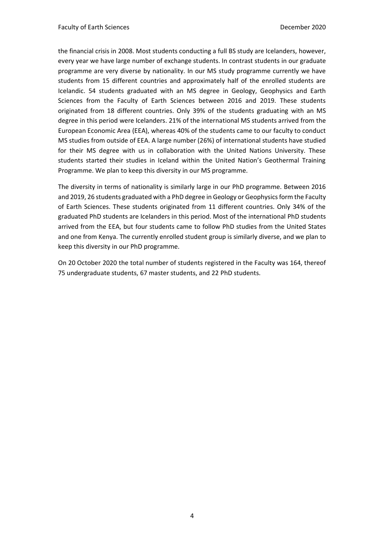the financial crisis in 2008. Most students conducting a full BS study are Icelanders, however, every year we have large number of exchange students. In contrast students in our graduate programme are very diverse by nationality. In our MS study programme currently we have students from 15 different countries and approximately half of the enrolled students are Icelandic. 54 students graduated with an MS degree in Geology, Geophysics and Earth Sciences from the Faculty of Earth Sciences between 2016 and 2019. These students originated from 18 different countries. Only 39% of the students graduating with an MS degree in this period were Icelanders. 21% of the international MS students arrived from the European Economic Area (EEA), whereas 40% of the students came to our faculty to conduct MS studies from outside of EEA. A large number (26%) of international students have studied for their MS degree with us in collaboration with the United Nations University. These students started their studies in Iceland within the United Nation's Geothermal Training Programme. We plan to keep this diversity in our MS programme.

The diversity in terms of nationality is similarly large in our PhD programme. Between 2016 and 2019, 26 students graduated with a PhD degree in Geology or Geophysics form the Faculty of Earth Sciences. These students originated from 11 different countries. Only 34% of the graduated PhD students are Icelanders in this period. Most of the international PhD students arrived from the EEA, but four students came to follow PhD studies from the United States and one from Kenya. The currently enrolled student group is similarly diverse, and we plan to keep this diversity in our PhD programme.

On 20 October 2020 the total number of students registered in the Faculty was 164, thereof 75 undergraduate students, 67 master students, and 22 PhD students.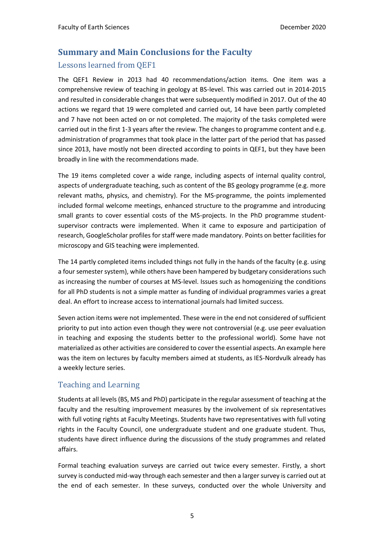# **Summary and Main Conclusions for the Faculty** Lessons learned from QEF1

The QEF1 Review in 2013 had 40 recommendations/action items. One item was a comprehensive review of teaching in geology at BS-level. This was carried out in 2014-2015 and resulted in considerable changes that were subsequently modified in 2017. Out of the 40 actions we regard that 19 were completed and carried out, 14 have been partly completed and 7 have not been acted on or not completed. The majority of the tasks completed were carried out in the first 1-3 years after the review. The changes to programme content and e.g. administration of programmes that took place in the latter part of the period that has passed since 2013, have mostly not been directed according to points in QEF1, but they have been broadly in line with the recommendations made.

The 19 items completed cover a wide range, including aspects of internal quality control, aspects of undergraduate teaching, such as content of the BS geology programme (e.g. more relevant maths, physics, and chemistry). For the MS-programme, the points implemented included formal welcome meetings, enhanced structure to the programme and introducing small grants to cover essential costs of the MS-projects. In the PhD programme studentsupervisor contracts were implemented. When it came to exposure and participation of research, GoogleScholar profiles for staff were made mandatory. Points on better facilities for microscopy and GIS teaching were implemented.

The 14 partly completed items included things not fully in the hands of the faculty (e.g. using a four semester system), while others have been hampered by budgetary considerations such as increasing the number of courses at MS-level. Issues such as homogenizing the conditions for all PhD students is not a simple matter as funding of individual programmes varies a great deal. An effort to increase access to international journals had limited success.

Seven action items were not implemented. These were in the end not considered of sufficient priority to put into action even though they were not controversial (e.g. use peer evaluation in teaching and exposing the students better to the professional world). Some have not materialized as other activities are considered to cover the essential aspects. An example here was the item on lectures by faculty members aimed at students, as IES-Nordvulk already has a weekly lecture series.

## Teaching and Learning

Students at all levels (BS, MS and PhD) participate in the regular assessment of teaching at the faculty and the resulting improvement measures by the involvement of six representatives with full voting rights at Faculty Meetings. Students have two representatives with full voting rights in the Faculty Council, one undergraduate student and one graduate student. Thus, students have direct influence during the discussions of the study programmes and related affairs.

Formal teaching evaluation surveys are carried out twice every semester. Firstly, a short survey is conducted mid-way through each semester and then a larger survey is carried out at the end of each semester. In these surveys, conducted over the whole University and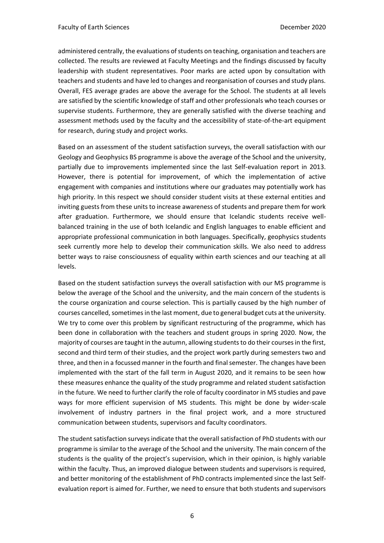administered centrally, the evaluations of students on teaching, organisation and teachers are collected. The results are reviewed at Faculty Meetings and the findings discussed by faculty leadership with student representatives. Poor marks are acted upon by consultation with teachers and students and have led to changes and reorganisation of courses and study plans. Overall, FES average grades are above the average for the School. The students at all levels are satisfied by the scientific knowledge of staff and other professionals who teach courses or supervise students. Furthermore, they are generally satisfied with the diverse teaching and assessment methods used by the faculty and the accessibility of state-of-the-art equipment for research, during study and project works.

Based on an assessment of the student satisfaction surveys, the overall satisfaction with our Geology and Geophysics BS programme is above the average of the School and the university, partially due to improvements implemented since the last Self-evaluation report in 2013. However, there is potential for improvement, of which the implementation of active engagement with companies and institutions where our graduates may potentially work has high priority. In this respect we should consider student visits at these external entities and inviting guests from these units to increase awareness of students and prepare them for work after graduation. Furthermore, we should ensure that Icelandic students receive wellbalanced training in the use of both Icelandic and English languages to enable efficient and appropriate professional communication in both languages. Specifically, geophysics students seek currently more help to develop their communication skills. We also need to address better ways to raise consciousness of equality within earth sciences and our teaching at all levels.

Based on the student satisfaction surveys the overall satisfaction with our MS programme is below the average of the School and the university, and the main concern of the students is the course organization and course selection. This is partially caused by the high number of courses cancelled, sometimes in the last moment, due to general budget cuts at the university. We try to come over this problem by significant restructuring of the programme, which has been done in collaboration with the teachers and student groups in spring 2020. Now, the majority of courses are taught in the autumn, allowing students to do their courses in the first, second and third term of their studies, and the project work partly during semesters two and three, and then in a focussed manner in the fourth and final semester. The changes have been implemented with the start of the fall term in August 2020, and it remains to be seen how these measures enhance the quality of the study programme and related student satisfaction in the future. We need to further clarify the role of faculty coordinator in MS studies and pave ways for more efficient supervision of MS students. This might be done by wider-scale involvement of industry partners in the final project work, and a more structured communication between students, supervisors and faculty coordinators.

The student satisfaction surveys indicate that the overall satisfaction of PhD students with our programme is similar to the average of the School and the university. The main concern of the students is the quality of the project's supervision, which in their opinion, is highly variable within the faculty. Thus, an improved dialogue between students and supervisors is required, and better monitoring of the establishment of PhD contracts implemented since the last Selfevaluation report is aimed for. Further, we need to ensure that both students and supervisors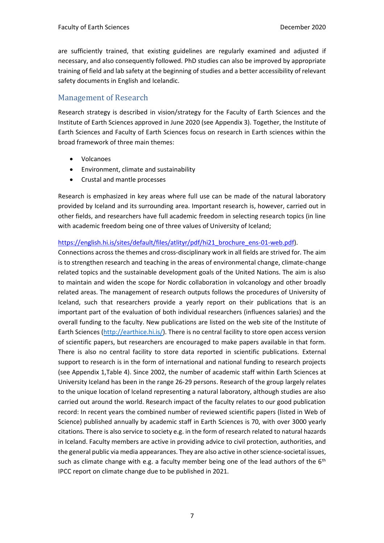are sufficiently trained, that existing guidelines are regularly examined and adjusted if necessary, and also consequently followed. PhD studies can also be improved by appropriate training of field and lab safety at the beginning of studies and a better accessibility of relevant safety documents in English and Icelandic.

## Management of Research

Research strategy is described in vision/strategy for the Faculty of Earth Sciences and the Institute of Earth Sciences approved in June 2020 (see Appendix 3). Together, the Institute of Earth Sciences and Faculty of Earth Sciences focus on research in Earth sciences within the broad framework of three main themes:

- Volcanoes
- Environment, climate and sustainability
- Crustal and mantle processes

Research is emphasized in key areas where full use can be made of the natural laboratory provided by Iceland and its surrounding area. Important research is, however, carried out in other fields, and researchers have full academic freedom in selecting research topics (in line with academic freedom being one of three values of University of Iceland;

### [https://english.hi.is/sites/default/files/atlityr/pdf/hi21\\_brochure\\_ens-01-web.pdf\)](https://english.hi.is/sites/default/files/atlityr/pdf/hi21_brochure_ens-01-web.pdf).

Connections across the themes and cross-disciplinary work in all fields are strived for. The aim is to strengthen research and teaching in the areas of environmental change, climate-change related topics and the sustainable development goals of the United Nations. The aim is also to maintain and widen the scope for Nordic collaboration in volcanology and other broadly related areas. The management of research outputs follows the procedures of University of Iceland, such that researchers provide a yearly report on their publications that is an important part of the evaluation of both individual researchers (influences salaries) and the overall funding to the faculty. New publications are listed on the web site of the Institute of Earth Sciences [\(http://earthice.hi.is/\)](http://earthice.hi.is/). There is no central facility to store open access version of scientific papers, but researchers are encouraged to make papers available in that form. There is also no central facility to store data reported in scientific publications. External support to research is in the form of international and national funding to research projects (see Appendix 1,Table 4). Since 2002, the number of academic staff within Earth Sciences at University Iceland has been in the range 26-29 persons. Research of the group largely relates to the unique location of Iceland representing a natural laboratory, although studies are also carried out around the world. Research impact of the faculty relates to our good publication record: In recent years the combined number of reviewed scientific papers (listed in Web of Science) published annually by academic staff in Earth Sciences is 70, with over 3000 yearly citations. There is also service to society e.g. in the form of research related to natural hazards in Iceland. Faculty members are active in providing advice to civil protection, authorities, and the general public via media appearances. They are also active in other science-societal issues, such as climate change with e.g. a faculty member being one of the lead authors of the  $6<sup>th</sup>$ IPCC report on climate change due to be published in 2021.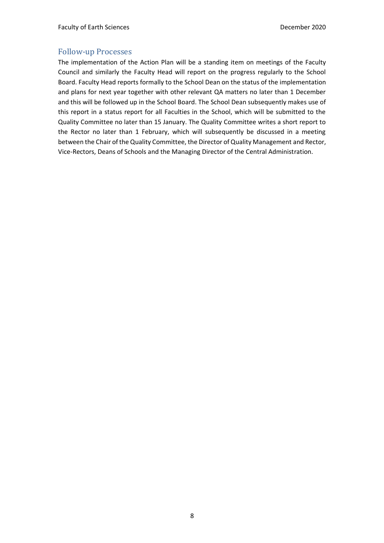## Follow-up Processes

The implementation of the Action Plan will be a standing item on meetings of the Faculty Council and similarly the Faculty Head will report on the progress regularly to the School Board. Faculty Head reports formally to the School Dean on the status of the implementation and plans for next year together with other relevant QA matters no later than 1 December and this will be followed up in the School Board. The School Dean subsequently makes use of this report in a status report for all Faculties in the School, which will be submitted to the Quality Committee no later than 15 January. The Quality Committee writes a short report to the Rector no later than 1 February, which will subsequently be discussed in a meeting between the Chair of the Quality Committee, the Director of Quality Management and Rector, Vice-Rectors, Deans of Schools and the Managing Director of the Central Administration.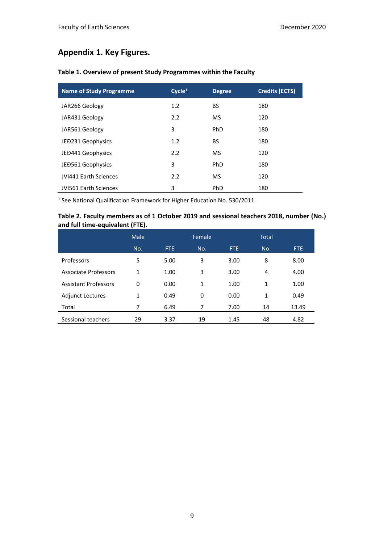# **Appendix 1. Key Figures.**

| <b>Name of Study Programme</b> | Cycle <sup>1</sup> | <b>Degree</b> | <b>Credits (ECTS)</b> |
|--------------------------------|--------------------|---------------|-----------------------|
| JAR266 Geology                 | 1.2                | BS            | 180                   |
| JAR431 Geology                 | 2.2                | <b>MS</b>     | 120                   |
| JAR561 Geology                 | 3                  | PhD           | 180                   |
| JED231 Geophysics              | 1.2                | BS.           | 180                   |
| JEĐ441 Geophysics              | 2.2                | <b>MS</b>     | 120                   |
| JEĐ561 Geophysics              | 3                  | PhD           | 180                   |
| <b>JVI441 Earth Sciences</b>   | 2.2                | <b>MS</b>     | 120                   |
| JVI561 Earth Sciences          | 3                  | PhD           | 180                   |

## **Table 1. Overview of present Study Programmes within the Faculty**

<sup>1</sup> See National Qualification Framework for Higher Education No. 530/2011.

### **Table 2. Faculty members as of 1 October 2019 and sessional teachers 2018, number (No.) and full time-equivalent (FTE).**

|                             | Male |      | Female |      | <b>Total</b> |            |
|-----------------------------|------|------|--------|------|--------------|------------|
|                             | No.  | FTE  | No.    | FTE. | No.          | <b>FTE</b> |
| <b>Professors</b>           | 5    | 5.00 | 3      | 3.00 | 8            | 8.00       |
| <b>Associate Professors</b> | 1    | 1.00 | 3      | 3.00 | 4            | 4.00       |
| <b>Assistant Professors</b> | 0    | 0.00 | 1      | 1.00 | 1            | 1.00       |
| <b>Adjunct Lectures</b>     | 1    | 0.49 | 0      | 0.00 | 1            | 0.49       |
| Total                       | 7    | 6.49 | 7      | 7.00 | 14           | 13.49      |
| Sessional teachers          | 29   | 3.37 | 19     | 1.45 | 48           | 4.82       |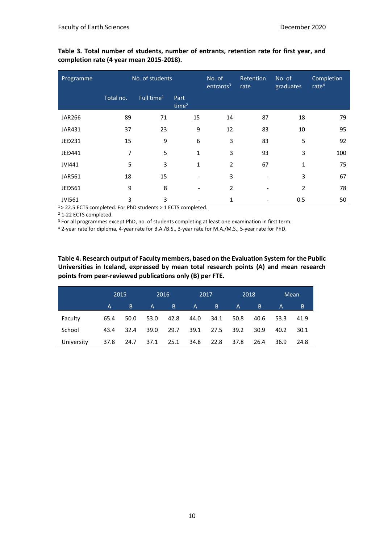**Table 3. Total number of students, number of entrants, retention rate for first year, and completion rate (4 year mean 2015-2018).** 

| Programme     | No. of students |                        | No. of<br>entrants <sup>3</sup> | Retention<br>rate | No. of<br>graduates | Completion<br>rate <sup>4</sup> |     |
|---------------|-----------------|------------------------|---------------------------------|-------------------|---------------------|---------------------------------|-----|
|               | Total no.       | Full time <sup>1</sup> | Part<br>time <sup>2</sup>       |                   |                     |                                 |     |
| <b>JAR266</b> | 89              | 71                     | 15                              | 14                | 87                  | 18                              | 79  |
| JAR431        | 37              | 23                     | 9                               | 12                | 83                  | 10                              | 95  |
| JEĐ231        | 15              | 9                      | 6                               | 3                 | 83                  | 5                               | 92  |
| JEĐ441        | 7               | 5                      | 1                               | 3                 | 93                  | 3                               | 100 |
| JVI441        | 5               | 3                      | 1                               | $\overline{2}$    | 67                  | $\mathbf{1}$                    | 75  |
| JAR561        | 18              | 15                     |                                 | 3                 |                     | 3                               | 67  |
| JEĐ561        | 9               | 8                      | -                               | $\overline{2}$    |                     | $\overline{2}$                  | 78  |
| <b>JVI561</b> | 3               | 3                      |                                 | 1                 |                     | 0.5                             | 50  |

<sup>1</sup>> 22.5 ECTS completed. For PhD students > 1 ECTS completed.

<sup>2</sup> 1-22 ECTS completed.

<sup>3</sup> For all programmes except PhD, no. of students completing at least one examination in first term.

<sup>4</sup> 2-year rate for diploma, 4-year rate for B.A./B.S., 3-year rate for M.A./M.S., 5-year rate for PhD.

**Table 4. Research output of Faculty members, based on the Evaluation System for the Public Universities in Iceland, expressed by mean total research points (A) and mean research points from peer-reviewed publications only (B) per FTE.**

|            |      | 2015 |      | 2016 |              | 2017 |              | 2018 |      | Mean |
|------------|------|------|------|------|--------------|------|--------------|------|------|------|
|            | A.   | B    | A    | B    | $\mathsf{A}$ | B.   | $\mathsf{A}$ | B    | A    | B.   |
| Faculty    | 65.4 | 50.0 | 53.0 | 42.8 | 44.0         | 34.1 | 50.8         | 40.6 | 53.3 | 41.9 |
| School     | 43.4 | 32.4 | 39.0 | 29.7 | 39.1         | 27.5 | 39.2         | 30.9 | 40.2 | 30.1 |
| University | 37.8 | 24.7 | 37.1 | 25.1 | 34.8         | 22.8 | 37.8         | 26.4 | 36.9 | 24.8 |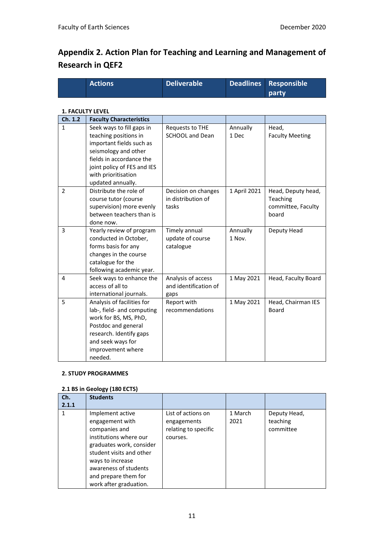# **Appendix 2. Action Plan for Teaching and Learning and Management of Research in QEF2**

| <b>Actions</b> | Deliverable | Deadlines Responsible |
|----------------|-------------|-----------------------|
|                |             | party                 |

#### **1. FACULTY LEVEL**

| Ch. 1.2        | <b>Faculty Characteristics</b>                                                                                                                                                                                |                                                     |                    |                                                               |
|----------------|---------------------------------------------------------------------------------------------------------------------------------------------------------------------------------------------------------------|-----------------------------------------------------|--------------------|---------------------------------------------------------------|
| $\mathbf{1}$   | Seek ways to fill gaps in<br>teaching positions in<br>important fields such as<br>seismology and other<br>fields in accordance the<br>joint policy of FES and IES<br>with prioritisation<br>updated annually. | Requests to THE<br><b>SCHOOL and Dean</b>           | Annually<br>1 Dec  | Head,<br><b>Faculty Meeting</b>                               |
| $\overline{2}$ | Distribute the role of<br>course tutor (course<br>supervision) more evenly<br>between teachers than is<br>done now.                                                                                           | Decision on changes<br>in distribution of<br>tasks  | 1 April 2021       | Head, Deputy head,<br>Teaching<br>committee, Faculty<br>board |
| 3              | Yearly review of program<br>conducted in October,<br>forms basis for any<br>changes in the course<br>catalogue for the<br>following academic year.                                                            | Timely annual<br>update of course<br>catalogue      | Annually<br>1 Nov. | Deputy Head                                                   |
| 4              | Seek ways to enhance the<br>access of all to<br>international journals.                                                                                                                                       | Analysis of access<br>and identification of<br>gaps | 1 May 2021         | Head, Faculty Board                                           |
| 5              | Analysis of facilities for<br>lab-, field- and computing<br>work for BS, MS, PhD,<br>Postdoc and general<br>research. Identify gaps<br>and seek ways for<br>improvement where<br>needed.                      | Report with<br>recommendations                      | 1 May 2021         | Head, Chairman IES<br><b>Board</b>                            |

#### **2. STUDY PROGRAMMES**

#### **2.1 BS in Geology (180 ECTS)**

| Ch.<br>2.1.1 | <b>Students</b>                                                                                                                                                                                                                       |                                                                       |                 |                                       |
|--------------|---------------------------------------------------------------------------------------------------------------------------------------------------------------------------------------------------------------------------------------|-----------------------------------------------------------------------|-----------------|---------------------------------------|
|              | Implement active<br>engagement with<br>companies and<br>institutions where our<br>graduates work, consider<br>student visits and other<br>ways to increase<br>awareness of students<br>and prepare them for<br>work after graduation. | List of actions on<br>engagements<br>relating to specific<br>courses. | 1 March<br>2021 | Deputy Head,<br>teaching<br>committee |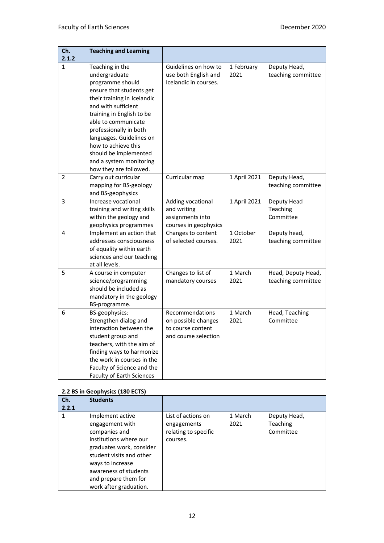| Ch.<br>2.1.2   | <b>Teaching and Learning</b>                                                                                                                                                                                                                                                                                                                          |                                                                                            |                    |                                          |
|----------------|-------------------------------------------------------------------------------------------------------------------------------------------------------------------------------------------------------------------------------------------------------------------------------------------------------------------------------------------------------|--------------------------------------------------------------------------------------------|--------------------|------------------------------------------|
| 1              | Teaching in the<br>undergraduate<br>programme should<br>ensure that students get<br>their training in Icelandic<br>and with sufficient<br>training in English to be<br>able to communicate<br>professionally in both<br>languages. Guidelines on<br>how to achieve this<br>should be implemented<br>and a system monitoring<br>how they are followed. | Guidelines on how to<br>use both English and<br>Icelandic in courses.                      | 1 February<br>2021 | Deputy Head,<br>teaching committee       |
| $\overline{2}$ | Carry out curricular<br>mapping for BS-geology<br>and BS-geophysics                                                                                                                                                                                                                                                                                   | Curricular map                                                                             | 1 April 2021       | Deputy Head,<br>teaching committee       |
| 3              | Increase vocational<br>training and writing skills<br>within the geology and<br>geophysics programmes                                                                                                                                                                                                                                                 | Adding vocational<br>and writing<br>assignments into<br>courses in geophysics              | 1 April 2021       | Deputy Head<br>Teaching<br>Committee     |
| 4              | Implement an action that<br>addresses consciousness<br>of equality within earth<br>sciences and our teaching<br>at all levels.                                                                                                                                                                                                                        | Changes to content<br>of selected courses.                                                 | 1 October<br>2021  | Deputy head,<br>teaching committee       |
| 5              | A course in computer<br>science/programming<br>should be included as<br>mandatory in the geology<br>BS-programme.                                                                                                                                                                                                                                     | Changes to list of<br>mandatory courses                                                    | 1 March<br>2021    | Head, Deputy Head,<br>teaching committee |
| 6              | BS-geophysics:<br>Strengthen dialog and<br>interaction between the<br>student group and<br>teachers, with the aim of<br>finding ways to harmonize<br>the work in courses in the<br>Faculty of Science and the<br><b>Faculty of Earth Sciences</b>                                                                                                     | <b>Recommendations</b><br>on possible changes<br>to course content<br>and course selection | 1 March<br>2021    | Head, Teaching<br>Committee              |

#### **2.2 BS in Geophysics (180 ECTS)**

| Ch.<br>2.2.1 | <b>Students</b>                                                                                                                                                                                                                       |                                                                       |                 |                                              |
|--------------|---------------------------------------------------------------------------------------------------------------------------------------------------------------------------------------------------------------------------------------|-----------------------------------------------------------------------|-----------------|----------------------------------------------|
|              | Implement active<br>engagement with<br>companies and<br>institutions where our<br>graduates work, consider<br>student visits and other<br>ways to increase<br>awareness of students<br>and prepare them for<br>work after graduation. | List of actions on<br>engagements<br>relating to specific<br>courses. | 1 March<br>2021 | Deputy Head,<br><b>Teaching</b><br>Committee |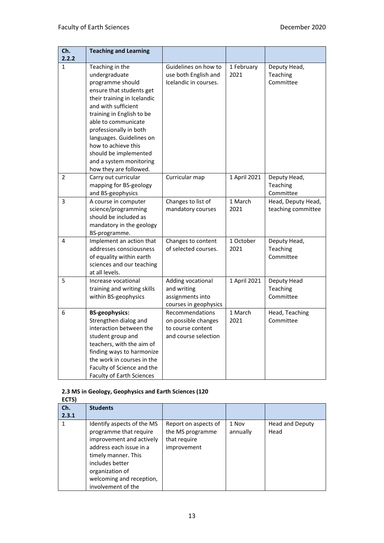| Ch.            | <b>Teaching and Learning</b>                                                                                                                                                                                                                                                                                                                          |                                                                                     |                    |                                          |
|----------------|-------------------------------------------------------------------------------------------------------------------------------------------------------------------------------------------------------------------------------------------------------------------------------------------------------------------------------------------------------|-------------------------------------------------------------------------------------|--------------------|------------------------------------------|
| 2.2.2          |                                                                                                                                                                                                                                                                                                                                                       |                                                                                     |                    |                                          |
| $\mathbf 1$    | Teaching in the<br>undergraduate<br>programme should<br>ensure that students get<br>their training in Icelandic<br>and with sufficient<br>training in English to be<br>able to communicate<br>professionally in both<br>languages. Guidelines on<br>how to achieve this<br>should be implemented<br>and a system monitoring<br>how they are followed. | Guidelines on how to<br>use both English and<br>Icelandic in courses.               | 1 February<br>2021 | Deputy Head,<br>Teaching<br>Committee    |
| $\overline{2}$ | Carry out curricular<br>mapping for BS-geology<br>and BS-geophysics                                                                                                                                                                                                                                                                                   | Curricular map                                                                      | 1 April 2021       | Deputy Head,<br>Teaching<br>Committee    |
| 3              | A course in computer<br>science/programming<br>should be included as<br>mandatory in the geology<br>BS-programme.                                                                                                                                                                                                                                     | Changes to list of<br>mandatory courses                                             | 1 March<br>2021    | Head, Deputy Head,<br>teaching committee |
| 4              | Implement an action that<br>addresses consciousness<br>of equality within earth<br>sciences and our teaching<br>at all levels.                                                                                                                                                                                                                        | Changes to content<br>of selected courses.                                          | 1 October<br>2021  | Deputy Head,<br>Teaching<br>Committee    |
| 5              | Increase vocational<br>training and writing skills<br>within BS-geophysics                                                                                                                                                                                                                                                                            | Adding vocational<br>and writing<br>assignments into<br>courses in geophysics       | 1 April 2021       | Deputy Head<br>Teaching<br>Committee     |
| 6              | <b>BS-geophysics:</b><br>Strengthen dialog and<br>interaction between the<br>student group and<br>teachers, with the aim of<br>finding ways to harmonize<br>the work in courses in the<br>Faculty of Science and the<br><b>Faculty of Earth Sciences</b>                                                                                              | Recommendations<br>on possible changes<br>to course content<br>and course selection | 1 March<br>2021    | Head, Teaching<br>Committee              |

### **2.3 MS in Geology, Geophysics and Earth Sciences (120**

| ECTS) |                                                                                                                                                                                                                            |                                                                         |                   |                         |
|-------|----------------------------------------------------------------------------------------------------------------------------------------------------------------------------------------------------------------------------|-------------------------------------------------------------------------|-------------------|-------------------------|
| Ch.   | <b>Students</b>                                                                                                                                                                                                            |                                                                         |                   |                         |
| 2.3.1 |                                                                                                                                                                                                                            |                                                                         |                   |                         |
|       | Identify aspects of the MS<br>programme that require<br>improvement and actively<br>address each issue in a<br>timely manner. This<br>includes better<br>organization of<br>welcoming and reception,<br>involvement of the | Report on aspects of<br>the MS programme<br>that require<br>improvement | 1 Nov<br>annually | Head and Deputy<br>Head |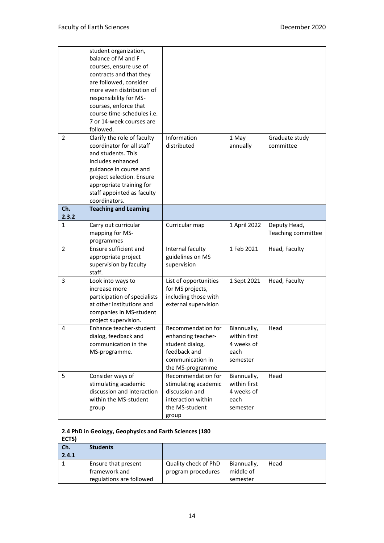|                | student organization,               |                                      |              |                    |
|----------------|-------------------------------------|--------------------------------------|--------------|--------------------|
|                | balance of M and F                  |                                      |              |                    |
|                | courses, ensure use of              |                                      |              |                    |
|                | contracts and that they             |                                      |              |                    |
|                | are followed, consider              |                                      |              |                    |
|                | more even distribution of           |                                      |              |                    |
|                | responsibility for MS-              |                                      |              |                    |
|                | courses, enforce that               |                                      |              |                    |
|                | course time-schedules i.e.          |                                      |              |                    |
|                | 7 or 14-week courses are            |                                      |              |                    |
|                | followed.                           |                                      |              |                    |
| 2              | Clarify the role of faculty         | Information                          | 1 May        | Graduate study     |
|                | coordinator for all staff           | distributed                          | annually     | committee          |
|                | and students. This                  |                                      |              |                    |
|                | includes enhanced                   |                                      |              |                    |
|                | guidance in course and              |                                      |              |                    |
|                | project selection. Ensure           |                                      |              |                    |
|                | appropriate training for            |                                      |              |                    |
|                | staff appointed as faculty          |                                      |              |                    |
|                | coordinators.                       |                                      |              |                    |
| Ch.            | <b>Teaching and Learning</b>        |                                      |              |                    |
| 2.3.2          |                                     |                                      |              |                    |
| 1              | Carry out curricular                | Curricular map                       | 1 April 2022 | Deputy Head,       |
|                | mapping for MS-                     |                                      |              | Teaching committee |
| $\overline{2}$ | programmes<br>Ensure sufficient and |                                      | 1 Feb 2021   |                    |
|                | appropriate project                 | Internal faculty<br>guidelines on MS |              | Head, Faculty      |
|                | supervision by faculty              | supervision                          |              |                    |
|                | staff.                              |                                      |              |                    |
| 3              | Look into ways to                   | List of opportunities                | 1 Sept 2021  | Head, Faculty      |
|                | increase more                       | for MS projects,                     |              |                    |
|                | participation of specialists        | including those with                 |              |                    |
|                | at other institutions and           | external supervision                 |              |                    |
|                | companies in MS-student             |                                      |              |                    |
|                | project supervision.                |                                      |              |                    |
| 4              | Enhance teacher-student             | Recommendation for                   | Biannually,  | Head               |
|                | dialog, feedback and                | enhancing teacher-                   | within first |                    |
|                | communication in the                | student dialog,                      | 4 weeks of   |                    |
|                | MS-programme.                       | feedback and                         | each         |                    |
|                |                                     | communication in                     | semester     |                    |
|                |                                     | the MS-programme                     |              |                    |
| 5              | Consider ways of                    | Recommendation for                   | Biannually,  | Head               |
|                | stimulating academic                | stimulating academic                 | within first |                    |
|                | discussion and interaction          | discussion and                       | 4 weeks of   |                    |
|                | within the MS-student               | interaction within                   | each         |                    |
|                | group                               | the MS-student                       | semester     |                    |
|                |                                     | group                                |              |                    |

#### **2.4 PhD in Geology, Geophysics and Earth Sciences (180 ECTS)**

| <b>ELIJI</b> |                          |                      |             |      |  |  |
|--------------|--------------------------|----------------------|-------------|------|--|--|
| Ch.          | <b>Students</b>          |                      |             |      |  |  |
| 2.4.1        |                          |                      |             |      |  |  |
|              | Ensure that present      | Quality check of PhD | Biannually, | Head |  |  |
|              | framework and            | program procedures   | middle of   |      |  |  |
|              | regulations are followed |                      | semester    |      |  |  |